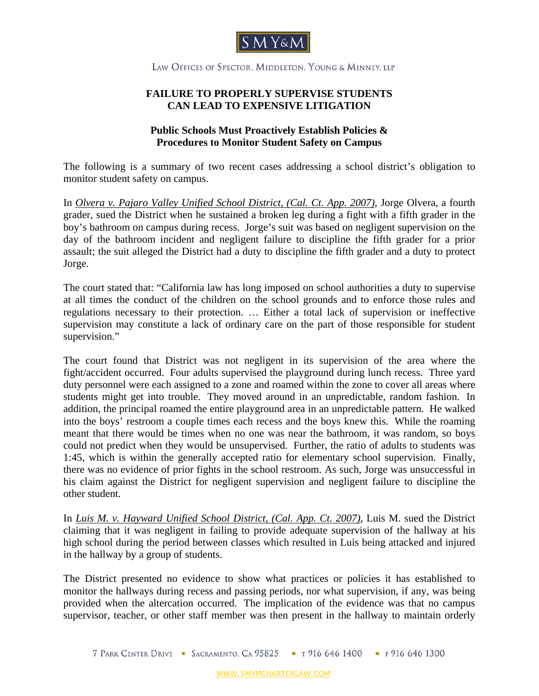

LAW OFFICES OF SPECTOR, MIDDLETON, YOUNG & MINNEY, LLP

## **FAILURE TO PROPERLY SUPERVISE STUDENTS CAN LEAD TO EXPENSIVE LITIGATION**

## **Public Schools Must Proactively Establish Policies & Procedures to Monitor Student Safety on Campus**

The following is a summary of two recent cases addressing a school district's obligation to monitor student safety on campus.

In *Olvera v. Pajaro Valley Unified School District, (Cal. Ct. App. 2007),* Jorge Olvera, a fourth grader, sued the District when he sustained a broken leg during a fight with a fifth grader in the boy's bathroom on campus during recess. Jorge's suit was based on negligent supervision on the day of the bathroom incident and negligent failure to discipline the fifth grader for a prior assault; the suit alleged the District had a duty to discipline the fifth grader and a duty to protect Jorge.

The court stated that: "California law has long imposed on school authorities a duty to supervise at all times the conduct of the children on the school grounds and to enforce those rules and regulations necessary to their protection. … Either a total lack of supervision or ineffective supervision may constitute a lack of ordinary care on the part of those responsible for student supervision."

The court found that District was not negligent in its supervision of the area where the fight/accident occurred. Four adults supervised the playground during lunch recess. Three yard duty personnel were each assigned to a zone and roamed within the zone to cover all areas where students might get into trouble. They moved around in an unpredictable, random fashion. In addition, the principal roamed the entire playground area in an unpredictable pattern. He walked into the boys' restroom a couple times each recess and the boys knew this. While the roaming meant that there would be times when no one was near the bathroom, it was random, so boys could not predict when they would be unsupervised. Further, the ratio of adults to students was 1:45, which is within the generally accepted ratio for elementary school supervision. Finally, there was no evidence of prior fights in the school restroom. As such, Jorge was unsuccessful in his claim against the District for negligent supervision and negligent failure to discipline the other student.

In *Luis M. v. Hayward Unified School District, (Cal. App. Ct. 2007),* Luis M. sued the District claiming that it was negligent in failing to provide adequate supervision of the hallway at his high school during the period between classes which resulted in Luis being attacked and injured in the hallway by a group of students.

The District presented no evidence to show what practices or policies it has established to monitor the hallways during recess and passing periods, nor what supervision, if any, was being provided when the altercation occurred. The implication of the evidence was that no campus supervisor, teacher, or other staff member was then present in the hallway to maintain orderly